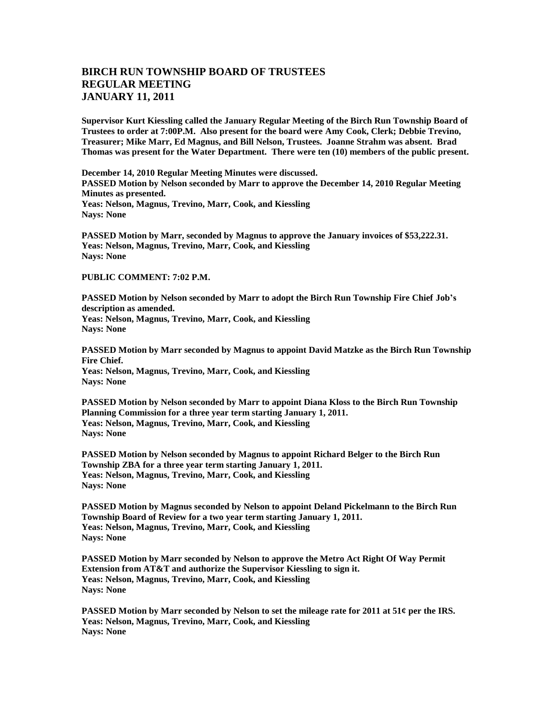## **BIRCH RUN TOWNSHIP BOARD OF TRUSTEES REGULAR MEETING JANUARY 11, 2011**

**Supervisor Kurt Kiessling called the January Regular Meeting of the Birch Run Township Board of Trustees to order at 7:00P.M. Also present for the board were Amy Cook, Clerk; Debbie Trevino, Treasurer; Mike Marr, Ed Magnus, and Bill Nelson, Trustees. Joanne Strahm was absent. Brad Thomas was present for the Water Department. There were ten (10) members of the public present.** 

**December 14, 2010 Regular Meeting Minutes were discussed. PASSED Motion by Nelson seconded by Marr to approve the December 14, 2010 Regular Meeting Minutes as presented. Yeas: Nelson, Magnus, Trevino, Marr, Cook, and Kiessling Nays: None**

**PASSED Motion by Marr, seconded by Magnus to approve the January invoices of \$53,222.31. Yeas: Nelson, Magnus, Trevino, Marr, Cook, and Kiessling Nays: None**

## **PUBLIC COMMENT: 7:02 P.M.**

**PASSED Motion by Nelson seconded by Marr to adopt the Birch Run Township Fire Chief Job's description as amended. Yeas: Nelson, Magnus, Trevino, Marr, Cook, and Kiessling Nays: None**

**PASSED Motion by Marr seconded by Magnus to appoint David Matzke as the Birch Run Township Fire Chief. Yeas: Nelson, Magnus, Trevino, Marr, Cook, and Kiessling Nays: None**

**PASSED Motion by Nelson seconded by Marr to appoint Diana Kloss to the Birch Run Township Planning Commission for a three year term starting January 1, 2011. Yeas: Nelson, Magnus, Trevino, Marr, Cook, and Kiessling Nays: None**

**PASSED Motion by Nelson seconded by Magnus to appoint Richard Belger to the Birch Run Township ZBA for a three year term starting January 1, 2011. Yeas: Nelson, Magnus, Trevino, Marr, Cook, and Kiessling Nays: None**

**PASSED Motion by Magnus seconded by Nelson to appoint Deland Pickelmann to the Birch Run Township Board of Review for a two year term starting January 1, 2011. Yeas: Nelson, Magnus, Trevino, Marr, Cook, and Kiessling Nays: None**

**PASSED Motion by Marr seconded by Nelson to approve the Metro Act Right Of Way Permit Extension from AT&T and authorize the Supervisor Kiessling to sign it. Yeas: Nelson, Magnus, Trevino, Marr, Cook, and Kiessling Nays: None**

**PASSED Motion by Marr seconded by Nelson to set the mileage rate for 2011 at 51¢ per the IRS. Yeas: Nelson, Magnus, Trevino, Marr, Cook, and Kiessling Nays: None**